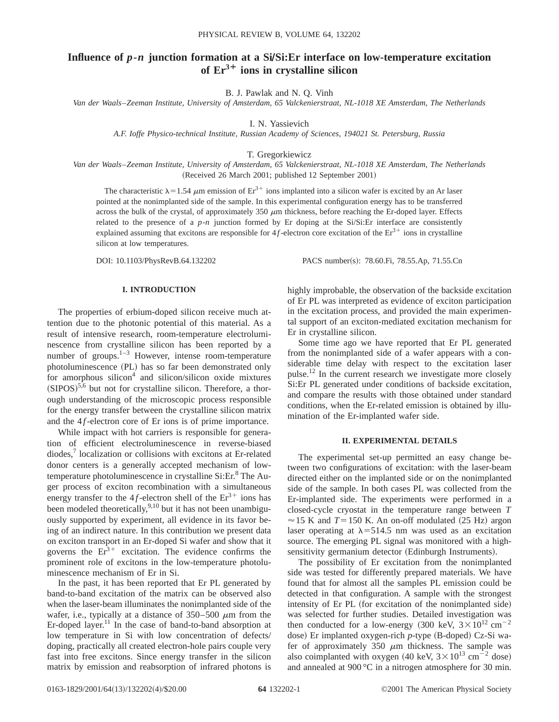# **Influence of** *p***-***n* **junction formation at a SiÕSi:Er interface on low-temperature excitation of Er3¿ ions in crystalline silicon**

B. J. Pawlak and N. Q. Vinh

*Van der Waals*–*Zeeman Institute, University of Amsterdam, 65 Valckenierstraat, NL-1018 XE Amsterdam, The Netherlands*

I. N. Yassievich

*A.F. Ioffe Physico-technical Institute, Russian Academy of Sciences, 194021 St. Petersburg, Russia*

T. Gregorkiewicz

*Van der Waals*–*Zeeman Institute, University of Amsterdam, 65 Valckenierstraat, NL-1018 XE Amsterdam, The Netherlands* (Received 26 March 2001; published 12 September 2001)

The characteristic  $\lambda = 1.54 \mu m$  emission of Er<sup>3+</sup> ions implanted into a silicon wafer is excited by an Ar laser pointed at the nonimplanted side of the sample. In this experimental configuration energy has to be transferred across the bulk of the crystal, of approximately 350  $\mu$ m thickness, before reaching the Er-doped layer. Effects related to the presence of a  $p$ -*n* junction formed by Er doping at the Si/Si:Er interface are consistently explained assuming that excitons are responsible for  $4f$ -electron core excitation of the  $Er<sup>3+</sup>$  ions in crystalline silicon at low temperatures.

DOI: 10.1103/PhysRevB.64.132202 PACS number(s): 78.60.Fi, 78.55.Ap, 71.55.Cn

# **I. INTRODUCTION**

The properties of erbium-doped silicon receive much attention due to the photonic potential of this material. As a result of intensive research, room-temperature electroluminescence from crystalline silicon has been reported by a number of groups. $1-3$  However, intense room-temperature photoluminescence (PL) has so far been demonstrated only for amorphous silicon $4$  and silicon/silicon oxide mixtures  $(SIPOS)^{5,6}$  but not for crystalline silicon. Therefore, a thorough understanding of the microscopic process responsible for the energy transfer between the crystalline silicon matrix and the 4*f*-electron core of Er ions is of prime importance.

While impact with hot carriers is responsible for generation of efficient electroluminescence in reverse-biased  $diodes<sup>7</sup> localization or collisions with excitons at Er-related$ donor centers is a generally accepted mechanism of lowtemperature photoluminescence in crystalline  $Si: Er<sup>8</sup>$  The Auger process of exciton recombination with a simultaneous energy transfer to the 4*f*-electron shell of the  $Er<sup>3+</sup>$  ions has been modeled theoretically, $9,10$  but it has not been unambiguously supported by experiment, all evidence in its favor being of an indirect nature. In this contribution we present data on exciton transport in an Er-doped Si wafer and show that it governs the  $Er^{3+}$  excitation. The evidence confirms the prominent role of excitons in the low-temperature photoluminescence mechanism of Er in Si.

In the past, it has been reported that Er PL generated by band-to-band excitation of the matrix can be observed also when the laser-beam illuminates the nonimplanted side of the wafer, i.e., typically at a distance of  $350-500 \mu m$  from the Er-doped layer.<sup>11</sup> In the case of band-to-band absorption at low temperature in Si with low concentration of defects/ doping, practically all created electron-hole pairs couple very fast into free excitons. Since energy transfer in the silicon matrix by emission and reabsorption of infrared photons is

highly improbable, the observation of the backside excitation of Er PL was interpreted as evidence of exciton participation in the excitation process, and provided the main experimental support of an exciton-mediated excitation mechanism for Er in crystalline silicon.

Some time ago we have reported that Er PL generated from the nonimplanted side of a wafer appears with a considerable time delay with respect to the excitation laser pulse.12 In the current research we investigate more closely Si:Er PL generated under conditions of backside excitation, and compare the results with those obtained under standard conditions, when the Er-related emission is obtained by illumination of the Er-implanted wafer side.

### **II. EXPERIMENTAL DETAILS**

The experimental set-up permitted an easy change between two configurations of excitation: with the laser-beam directed either on the implanted side or on the nonimplanted side of the sample. In both cases PL was collected from the Er-implanted side. The experiments were performed in a closed-cycle cryostat in the temperature range between *T*  $\approx$  15 K and *T* = 150 K. An on-off modulated (25 Hz) argon laser operating at  $\lambda$ =514.5 nm was used as an excitation source. The emerging PL signal was monitored with a highsensitivity germanium detector (Edinburgh Instruments).

The possibility of Er excitation from the nonimplanted side was tested for differently prepared materials. We have found that for almost all the samples PL emission could be detected in that configuration. A sample with the strongest intensity of Er PL (for excitation of the nonimplanted side) was selected for further studies. Detailed investigation was then conducted for a low-energy  $(300 \text{ keV}, 3 \times 10^{12} \text{ cm}^{-2}$ dose) Er implanted oxygen-rich *p*-type (B-doped) Cz-Si wafer of approximately 350  $\mu$ m thickness. The sample was also coimplanted with oxygen (40 keV,  $3 \times 10^{13}$  cm<sup>-2</sup> dose) and annealed at 900 °C in a nitrogen atmosphere for 30 min.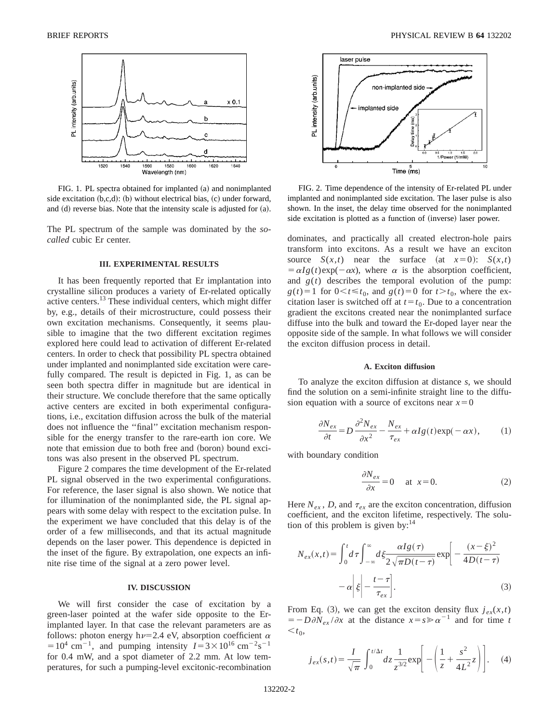

FIG. 1. PL spectra obtained for implanted (a) and nonimplanted side excitation  $(b, c, d)$ :  $(b)$  without electrical bias,  $(c)$  under forward, and  $(d)$  reverse bias. Note that the intensity scale is adjusted for  $(a)$ .

The PL spectrum of the sample was dominated by the *socalled* cubic Er center.

#### **III. EXPERIMENTAL RESULTS**

It has been frequently reported that Er implantation into crystalline silicon produces a variety of Er-related optically active centers.<sup>13</sup> These individual centers, which might differ by, e.g., details of their microstructure, could possess their own excitation mechanisms. Consequently, it seems plausible to imagine that the two different excitation regimes explored here could lead to activation of different Er-related centers. In order to check that possibility PL spectra obtained under implanted and nonimplanted side excitation were carefully compared. The result is depicted in Fig. 1, as can be seen both spectra differ in magnitude but are identical in their structure. We conclude therefore that the same optically active centers are excited in both experimental configurations, i.e., excitation diffusion across the bulk of the material does not influence the ''final'' excitation mechanism responsible for the energy transfer to the rare-earth ion core. We note that emission due to both free and (boron) bound excitons was also present in the observed PL spectrum.

Figure 2 compares the time development of the Er-related PL signal observed in the two experimental configurations. For reference, the laser signal is also shown. We notice that for illumination of the nonimplanted side, the PL signal appears with some delay with respect to the excitation pulse. In the experiment we have concluded that this delay is of the order of a few milliseconds, and that its actual magnitude depends on the laser power. This dependence is depicted in the inset of the figure. By extrapolation, one expects an infinite rise time of the signal at a zero power level.

### **IV. DISCUSSION**

We will first consider the case of excitation by a green-laser pointed at the wafer side opposite to the Erimplanted layer. In that case the relevant parameters are as follows: photon energy h $\nu=2.4$  eV, absorption coefficient  $\alpha$  $=10^4$  cm<sup>-1</sup>, and pumping intensity  $I=3\times10^{16}$  cm<sup>-2</sup>s<sup>-1</sup> for 0.4 mW, and a spot diameter of 2.2 mm. At low temperatures, for such a pumping-level excitonic-recombination



FIG. 2. Time dependence of the intensity of Er-related PL under implanted and nonimplanted side excitation. The laser pulse is also shown. In the inset, the delay time observed for the nonimplanted side excitation is plotted as a function of (inverse) laser power.

dominates, and practically all created electron-hole pairs transform into excitons. As a result we have an exciton source  $S(x,t)$  near the surface (at  $x=0$ ):  $S(x,t)$  $= \alpha Ig(t) \exp(-\alpha x)$ , where  $\alpha$  is the absorption coefficient, and  $g(t)$  describes the temporal evolution of the pump:  $g(t) = 1$  for  $0 < t \le t_0$ , and  $g(t) = 0$  for  $t > t_0$ , where the excitation laser is switched off at  $t = t_0$ . Due to a concentration gradient the excitons created near the nonimplanted surface diffuse into the bulk and toward the Er-doped layer near the opposite side of the sample. In what follows we will consider the exciton diffusion process in detail.

# **A. Exciton diffusion**

To analyze the exciton diffusion at distance *s*, we should find the solution on a semi-infinite straight line to the diffusion equation with a source of excitons near  $x=0$ 

$$
\frac{\partial N_{ex}}{\partial t} = D \frac{\partial^2 N_{ex}}{\partial x^2} - \frac{N_{ex}}{\tau_{ex}} + \alpha I g(t) \exp(-\alpha x), \tag{1}
$$

with boundary condition

$$
\frac{\partial N_{ex}}{\partial x} = 0 \quad \text{at } x = 0. \tag{2}
$$

Here  $N_{ex}$ , *D*, and  $\tau_{ex}$  are the exciton concentration, diffusion coefficient, and the exciton lifetime, respectively. The solution of this problem is given by: $^{14}$ 

$$
N_{ex}(x,t) = \int_0^t d\tau \int_{-\infty}^{\infty} d\xi \frac{\alpha I g(\tau)}{2\sqrt{\pi D(t-\tau)}} \exp\left[-\frac{(x-\xi)^2}{4D(t-\tau)} -\alpha\right] \xi \left[-\frac{t-\tau}{\tau_{ex}}\right].
$$
 (3)

From Eq. (3), we can get the exciton density flux  $j_{ex}(x,t)$  $=$  -  $D \partial N_{ex}/\partial x$  at the distance  $x = s \gg \alpha^{-1}$  and for time *t*  $\lt t_0$ ,

$$
j_{ex}(s,t) = \frac{I}{\sqrt{\pi}} \int_0^{t/\Delta t} dz \frac{1}{z^{3/2}} \exp\left[-\left(\frac{1}{z} + \frac{s^2}{4L^2}z\right)\right].
$$
 (4)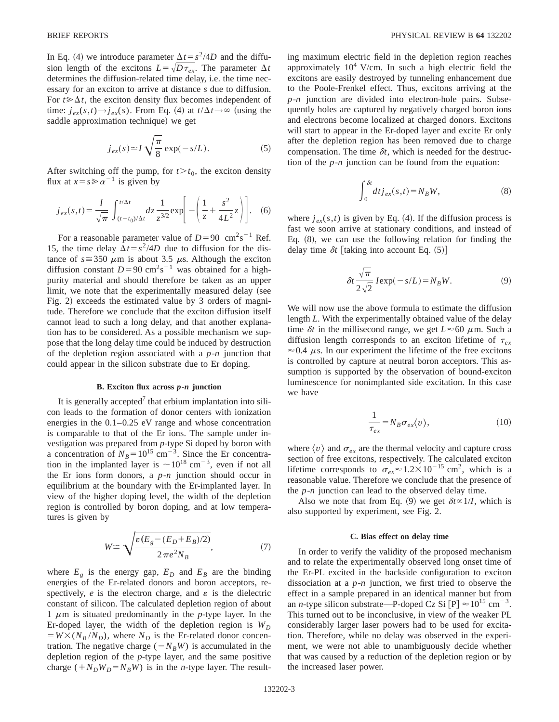In Eq. (4) we introduce parameter  $\Delta t = s^2/4D$  and the diffusion length of the excitons  $L = \sqrt{D \tau_{er}}$ . The parameter  $\Delta t$ determines the diffusion-related time delay, i.e. the time necessary for an exciton to arrive at distance *s* due to diffusion. For  $t \geq \Delta t$ , the exciton density flux becomes independent of time:  $j_{ex}(s,t) \rightarrow j_{ex}(s)$ . From Eq. (4) at  $t/\Delta t \rightarrow \infty$  (using the saddle approximation technique) we get

$$
j_{ex}(s) \simeq I \sqrt{\frac{\pi}{8}} \exp(-s/L). \tag{5}
$$

After switching off the pump, for  $t > t_0$ , the exciton density flux at  $x = s \ge \alpha^{-1}$  is given by

$$
j_{ex}(s,t) = \frac{I}{\sqrt{\pi}} \int_{(t-t_0)/\Delta t}^{t/\Delta t} dz \frac{1}{z^{3/2}} \exp\left[-\left(\frac{1}{z} + \frac{s^2}{4L^2}z\right)\right].
$$
 (6)

For a reasonable parameter value of  $D=90$  cm<sup>2</sup>s<sup>-1</sup> Ref. 15, the time delay  $\Delta t = s^2/4D$  due to diffusion for the distance of  $s \approx 350 \mu m$  is about 3.5  $\mu s$ . Although the exciton diffusion constant  $D=90 \text{ cm}^2\text{s}^{-1}$  was obtained for a highpurity material and should therefore be taken as an upper limit, we note that the experimentally measured delay (see Fig. 2) exceeds the estimated value by 3 orders of magnitude. Therefore we conclude that the exciton diffusion itself cannot lead to such a long delay, and that another explanation has to be considered. As a possible mechanism we suppose that the long delay time could be induced by destruction of the depletion region associated with a *p*-*n* junction that could appear in the silicon substrate due to Er doping.

#### **B. Exciton flux across** *p***-***n* **junction**

It is generally accepted<sup>7</sup> that erbium implantation into silicon leads to the formation of donor centers with ionization energies in the 0.1–0.25 eV range and whose concentration is comparable to that of the Er ions. The sample under investigation was prepared from *p*-type Si doped by boron with a concentration of  $N_B$ =10<sup>15</sup> cm<sup>-3</sup>. Since the Er concentration in the implanted layer is  $\sim 10^{18}$  cm<sup>-3</sup>, even if not all the Er ions form donors, a *p*-*n* junction should occur in equilibrium at the boundary with the Er-implanted layer. In view of the higher doping level, the width of the depletion region is controlled by boron doping, and at low temperatures is given by

$$
W \cong \sqrt{\frac{\varepsilon (E_g - (E_D + E_B)/2)}{2\pi e^2 N_B}},\tag{7}
$$

where  $E_g$  is the energy gap,  $E_D$  and  $E_B$  are the binding energies of the Er-related donors and boron acceptors, respectively,  $e$  is the electron charge, and  $\varepsilon$  is the dielectric constant of silicon. The calculated depletion region of about 1  $\mu$ m is situated predominantly in the *p*-type layer. In the Er-doped layer, the width of the depletion region is  $W_D$  $W \times (N_B/N_D)$ , where  $N_D$  is the Er-related donor concentration. The negative charge  $(-N_BW)$  is accumulated in the depletion region of the *p*-type layer, and the same positive charge  $(+N_DW_D=N_BW)$  is in the *n*-type layer. The resulting maximum electric field in the depletion region reaches approximately  $10^4$  V/cm. In such a high electric field the excitons are easily destroyed by tunneling enhancement due to the Poole-Frenkel effect. Thus, excitons arriving at the *p*-*n* junction are divided into electron-hole pairs. Subsequently holes are captured by negatively charged boron ions and electrons become localized at charged donors. Excitons will start to appear in the Er-doped layer and excite Er only after the depletion region has been removed due to charge compensation. The time  $\delta t$ , which is needed for the destruction of the *p*-*n* junction can be found from the equation:

$$
\int_0^{\delta t} dt j_{ex}(s,t) = N_B W,\tag{8}
$$

where  $j_{ex}(s,t)$  is given by Eq. (4). If the diffusion process is fast we soon arrive at stationary conditions, and instead of Eq.  $(8)$ , we can use the following relation for finding the delay time  $\delta t$  [taking into account Eq.  $(5)$ ]

$$
\delta t \frac{\sqrt{\pi}}{2\sqrt{2}} I \exp(-s/L) = N_B W.
$$
 (9)

We will now use the above formula to estimate the diffusion length *L*. With the experimentally obtained value of the delay time  $\delta t$  in the millisecond range, we get  $L \approx 60 \mu$ m. Such a diffusion length corresponds to an exciton lifetime of  $\tau_{ex}$  $\approx 0.4 \mu$ s. In our experiment the lifetime of the free excitons is controlled by capture at neutral boron acceptors. This assumption is supported by the observation of bound-exciton luminescence for nonimplanted side excitation. In this case we have

$$
\frac{1}{\tau_{ex}} = N_B \sigma_{ex} \langle v \rangle, \tag{10}
$$

where  $\langle v \rangle$  and  $\sigma_{ex}$  are the thermal velocity and capture cross section of free excitons, respectively. The calculated exciton lifetime corresponds to  $\sigma_{ex} \approx 1.2 \times 10^{-15}$  cm<sup>2</sup>, which is a reasonable value. Therefore we conclude that the presence of the *p*-*n* junction can lead to the observed delay time.

Also we note that from Eq. (9) we get  $\delta t \propto 1/I$ , which is also supported by experiment, see Fig. 2.

# **C. Bias effect on delay time**

In order to verify the validity of the proposed mechanism and to relate the experimentally observed long onset time of the Er-PL excited in the backside configuration to exciton dissociation at a *p*-*n* junction, we first tried to observe the effect in a sample prepared in an identical manner but from an *n*-type silicon substrate—P-doped Cz Si  $[P] \approx 10^{15}$  cm<sup>-3</sup>. This turned out to be inconclusive, in view of the weaker PL considerably larger laser powers had to be used for excitation. Therefore, while no delay was observed in the experiment, we were not able to unambiguously decide whether that was caused by a reduction of the depletion region or by the increased laser power.